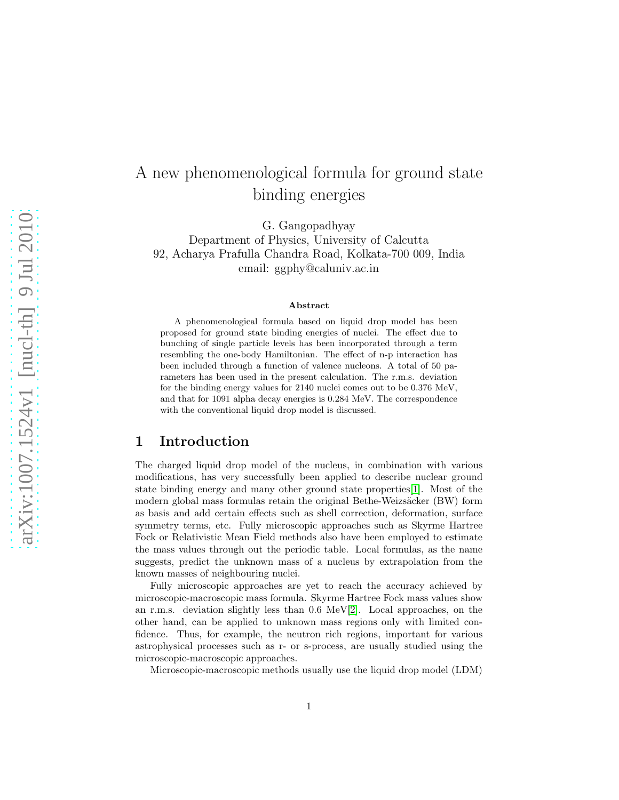# A new phenomenological formula for ground state binding energies

G. Gangopadhyay

Department of Physics, University of Calcutta 92, Acharya Prafulla Chandra Road, Kolkata-700 009, India email: ggphy@caluniv.ac.in

#### Abstract

A phenomenological formula based on liquid drop model has been proposed for ground state binding energies of nuclei. The effect due to bunching of single particle levels has been incorporated through a term resembling the one-body Hamiltonian. The effect of n-p interaction has been included through a function of valence nucleons. A total of 50 parameters has been used in the present calculation. The r.m.s. deviation for the binding energy values for 2140 nuclei comes out to be 0.376 MeV, and that for 1091 alpha decay energies is 0.284 MeV. The correspondence with the conventional liquid drop model is discussed.

### 1 Introduction

The charged liquid drop model of the nucleus, in combination with various modifications, has very successfully been applied to describe nuclear ground state binding energy and many other ground state properties[\[1\]](#page-10-0). Most of the modern global mass formulas retain the original Bethe-Weizsäcker (BW) form as basis and add certain effects such as shell correction, deformation, surface symmetry terms, etc. Fully microscopic approaches such as Skyrme Hartree Fock or Relativistic Mean Field methods also have been employed to estimate the mass values through out the periodic table. Local formulas, as the name suggests, predict the unknown mass of a nucleus by extrapolation from the known masses of neighbouring nuclei.

Fully microscopic approaches are yet to reach the accuracy achieved by microscopic-macroscopic mass formula. Skyrme Hartree Fock mass values show an r.m.s. deviation slightly less than 0.6 MeV[\[2\]](#page-10-1). Local approaches, on the other hand, can be applied to unknown mass regions only with limited confidence. Thus, for example, the neutron rich regions, important for various astrophysical processes such as r- or s-process, are usually studied using the microscopic-macroscopic approaches.

Microscopic-macroscopic methods usually use the liquid drop model (LDM)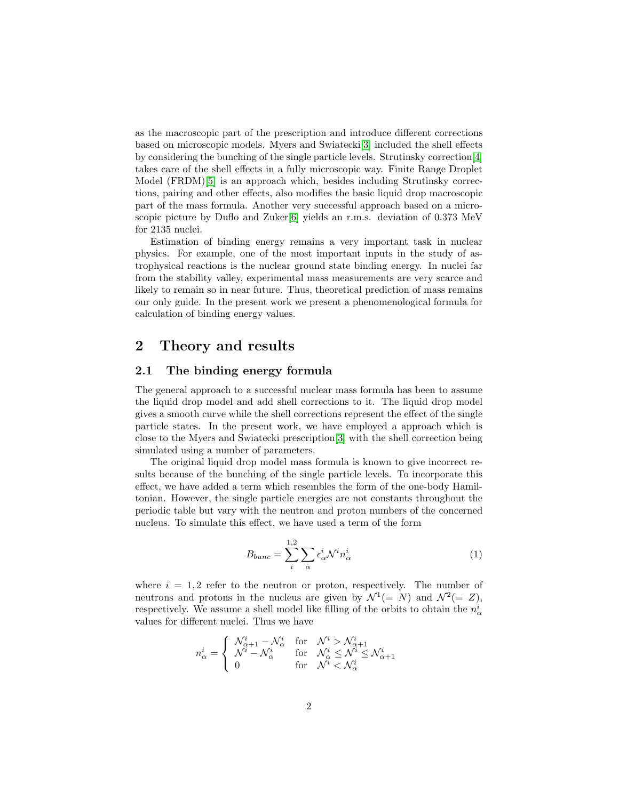as the macroscopic part of the prescription and introduce different corrections based on microscopic models. Myers and Swiatecki[\[3\]](#page-11-0) included the shell effects by considering the bunching of the single particle levels. Strutinsky correction[\[4\]](#page-11-1) takes care of the shell effects in a fully microscopic way. Finite Range Droplet Model (FRDM)[\[5\]](#page-11-2) is an approach which, besides including Strutinsky corrections, pairing and other effects, also modifies the basic liquid drop macroscopic part of the mass formula. Another very successful approach based on a micro-scopic picture by Duflo and Zuker[\[6\]](#page-11-3) yields an r.m.s. deviation of 0.373 MeV for 2135 nuclei.

Estimation of binding energy remains a very important task in nuclear physics. For example, one of the most important inputs in the study of astrophysical reactions is the nuclear ground state binding energy. In nuclei far from the stability valley, experimental mass measurements are very scarce and likely to remain so in near future. Thus, theoretical prediction of mass remains our only guide. In the present work we present a phenomenological formula for calculation of binding energy values.

## 2 Theory and results

### 2.1 The binding energy formula

The general approach to a successful nuclear mass formula has been to assume the liquid drop model and add shell corrections to it. The liquid drop model gives a smooth curve while the shell corrections represent the effect of the single particle states. In the present work, we have employed a approach which is close to the Myers and Swiatecki prescription[\[3\]](#page-11-0) with the shell correction being simulated using a number of parameters.

The original liquid drop model mass formula is known to give incorrect results because of the bunching of the single particle levels. To incorporate this effect, we have added a term which resembles the form of the one-body Hamiltonian. However, the single particle energies are not constants throughout the periodic table but vary with the neutron and proton numbers of the concerned nucleus. To simulate this effect, we have used a term of the form

$$
B_{bunc} = \sum_{i}^{1,2} \sum_{\alpha} \epsilon_{\alpha}^{i} \mathcal{N}^{i} n_{\alpha}^{i}
$$
 (1)

where  $i = 1, 2$  refer to the neutron or proton, respectively. The number of neutrons and protons in the nucleus are given by  $\mathcal{N}^1(= N)$  and  $\mathcal{N}^2(= Z)$ , respectively. We assume a shell model like filling of the orbits to obtain the  $n_{\alpha}^i$ values for different nuclei. Thus we have

$$
n^i_{\alpha} = \begin{cases} \begin{array}{ccc} \mathcal{N}^i_{\alpha+1} - \mathcal{N}^i_{\alpha} & \text{for} & \mathcal{N}^i > \mathcal{N}^i_{\alpha+1} \\ \mathcal{N}^i - \mathcal{N}^i_{\alpha} & \text{for} & \mathcal{N}^i_{\alpha} \leq \mathcal{N}^i \\ 0 & \text{for} & \mathcal{N}^i < \mathcal{N}^i_{\alpha} \end{array} \end{cases}
$$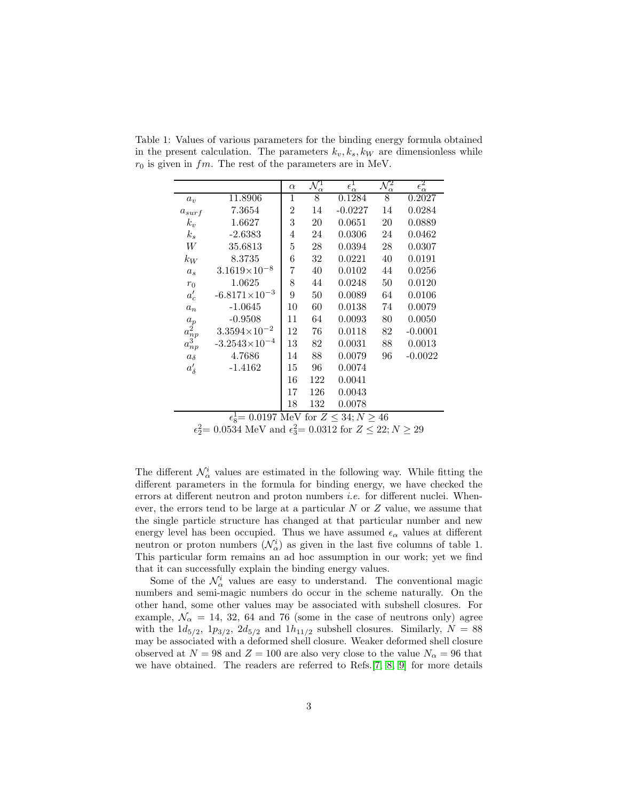|                                                           |                        | $\alpha$       | $\mathcal{N}^1_\alpha$ | $\epsilon_{\alpha}^1$ | $\mathcal{N}^2_\alpha$ | $\epsilon_{\alpha}^2$ |
|-----------------------------------------------------------|------------------------|----------------|------------------------|-----------------------|------------------------|-----------------------|
| $a_v$                                                     | 11.8906                | 1              | 8                      | $\overline{0.1284}$   | 8                      | 0.2027                |
| $a_{surf}$                                                | 7.3654                 | $\overline{2}$ | 14                     | $-0.0227$             | 14                     | 0.0284                |
| $k_v$                                                     | 1.6627                 | 3              | 20                     | 0.0651                | 20                     | 0.0889                |
| $k_s$                                                     | $-2.6383$              | 4              | 24                     | 0.0306                | 24                     | 0.0462                |
| W                                                         | 35.6813                | 5              | 28                     | 0.0394                | 28                     | 0.0307                |
| $k_W$                                                     | 8.3735                 | 6              | 32                     | 0.0221                | 40                     | 0.0191                |
| $a_s$                                                     | $3.1619\times10^{-8}$  | 7              | 40                     | 0.0102                | 44                     | 0.0256                |
| $r_0$                                                     | 1.0625                 | 8              | 44                     | 0.0248                | 50                     | 0.0120                |
| $a'_{c}$                                                  | $-6.8171\times10^{-3}$ | 9              | 50                     | 0.0089                | 64                     | 0.0106                |
| $a_n$                                                     | $-1.0645$              | 10             | 60                     | 0.0138                | 74                     | 0.0079                |
|                                                           | $-0.9508$              | 11             | 64                     | 0.0093                | 80                     | 0.0050                |
|                                                           | $3.3594\times10^{-2}$  | 12             | 76                     | 0.0118                | 82                     | $-0.0001$             |
| $\begin{matrix} a_p \\ a_{np}^2 \\ a_{np}^3 \end{matrix}$ | $-3.2543\times10^{-4}$ | 13             | 82                     | 0.0031                | 88                     | 0.0013                |
| $a_{\delta}$                                              | 4.7686                 | 14             | 88                     | 0.0079                | 96                     | $-0.0022$             |
| $a'_{\delta}$                                             | $-1.4162$              | 15             | 96                     | 0.0074                |                        |                       |
|                                                           |                        | 16             | 122                    | 0.0041                |                        |                       |
|                                                           |                        | 17             | 126                    | 0.0043                |                        |                       |
|                                                           |                        | 18             | 132                    | 0.0078                |                        |                       |
| $\epsilon^1$ = 0.0197 MeV for $Z < 34$ N > 46             |                        |                |                        |                       |                        |                       |

Table 1: Values of various parameters for the binding energy formula obtained in the present calculation. The parameters  $k_v, k_s, k_W$  are dimensionless while  $r_0$  is given in  $fm$ . The rest of the parameters are in MeV.

 $\epsilon_8^1 = 0.0197 \text{ MeV} \text{ for } Z \leq 34; N \geq 46$ 

 $\epsilon_2^2 = 0.0534$  MeV and  $\epsilon_3^2 = 0.0312$  for  $Z \le 22; N \ge 29$ 

The different  $\mathcal{N}^i_\alpha$  values are estimated in the following way. While fitting the different parameters in the formula for binding energy, we have checked the errors at different neutron and proton numbers *i.e.* for different nuclei. Whenever, the errors tend to be large at a particular N or Z value, we assume that the single particle structure has changed at that particular number and new energy level has been occupied. Thus we have assumed  $\epsilon_{\alpha}$  values at different neutron or proton numbers  $(\mathcal{N}_{\alpha}^i)$  as given in the last five columns of table 1. This particular form remains an ad hoc assumption in our work; yet we find that it can successfully explain the binding energy values.

Some of the  $\mathcal{N}_{\alpha}^{i}$  values are easy to understand. The conventional magic numbers and semi-magic numbers do occur in the scheme naturally. On the other hand, some other values may be associated with subshell closures. For example,  $\mathcal{N}_{\alpha} = 14, 32, 64$  and 76 (some in the case of neutrons only) agree with the  $1d_{5/2}$ ,  $1p_{3/2}$ ,  $2d_{5/2}$  and  $1h_{11/2}$  subshell closures. Similarly,  $N = 88$ may be associated with a deformed shell closure. Weaker deformed shell closure observed at  $N = 98$  and  $Z = 100$  are also very close to the value  $N_{\alpha} = 96$  that we have obtained. The readers are referred to Refs.[\[7,](#page-11-4) [8,](#page-11-5) [9\]](#page-11-6) for more details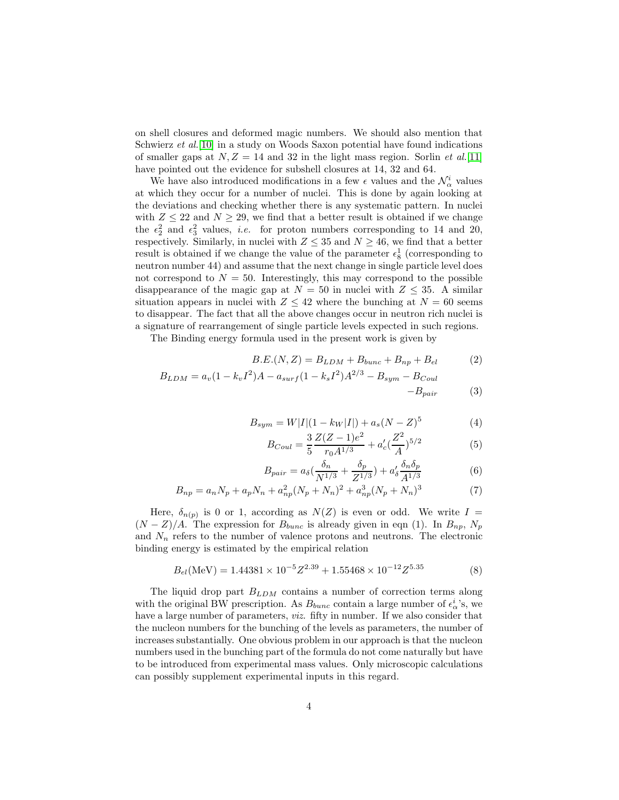on shell closures and deformed magic numbers. We should also mention that Schwierz *et al.*[\[10\]](#page-11-7) in a study on Woods Saxon potential have found indications of smaller gaps at  $N, Z = 14$  and 32 in the light mass region. Sorlin *et al.*[\[11\]](#page-11-8) have pointed out the evidence for subshell closures at 14, 32 and 64.

We have also introduced modifications in a few  $\epsilon$  values and the  $\mathcal{N}^i_\alpha$  values at which they occur for a number of nuclei. This is done by again looking at the deviations and checking whether there is any systematic pattern. In nuclei with  $Z \leq 22$  and  $N \geq 29$ , we find that a better result is obtained if we change the  $\epsilon_2^2$  and  $\epsilon_3^2$  values, *i.e.* for proton numbers corresponding to 14 and 20, respectively. Similarly, in nuclei with  $Z \leq 35$  and  $N \geq 46$ , we find that a better result is obtained if we change the value of the parameter  $\epsilon_8^1$  (corresponding to neutron number 44) and assume that the next change in single particle level does not correspond to  $N = 50$ . Interestingly, this may correspond to the possible disappearance of the magic gap at  $N = 50$  in nuclei with  $Z \leq 35$ . A similar situation appears in nuclei with  $Z \leq 42$  where the bunching at  $N = 60$  seems to disappear. The fact that all the above changes occur in neutron rich nuclei is a signature of rearrangement of single particle levels expected in such regions.

The Binding energy formula used in the present work is given by

$$
B.E.(N, Z) = B_{LDM} + B_{bunc} + B_{np} + B_{el}
$$
 (2)

$$
B_{LDM} = a_v (1 - k_v I^2) A - a_{surf} (1 - k_s I^2) A^{2/3} - B_{sym} - B_{Coul}
$$

$$
-B_{pair} \qquad \qquad (3)
$$

$$
B_{sym} = W|I|(1 - k_{W}|I|) + a_{s}(N - Z)^{5}
$$
\n(4)

$$
B_{Coul} = \frac{3}{5} \frac{Z(Z-1)e^2}{r_0 A^{1/3}} + a_c' (\frac{Z^2}{A})^{5/2}
$$
 (5)

$$
B_{pair} = a_{\delta} \left(\frac{\delta_n}{N^{1/3}} + \frac{\delta_p}{Z^{1/3}}\right) + a_{\delta}' \frac{\delta_n \delta_p}{A^{1/3}} \tag{6}
$$

$$
B_{np} = a_n N_p + a_p N_n + a_{np}^2 (N_p + N_n)^2 + a_{np}^3 (N_p + N_n)^3
$$
 (7)

Here,  $\delta_{n(p)}$  is 0 or 1, according as  $N(Z)$  is even or odd. We write  $I =$  $(N - Z)/A$ . The expression for  $B_{bunc}$  is already given in eqn (1). In  $B_{np}$ ,  $N_p$ and  $N_n$  refers to the number of valence protons and neutrons. The electronic binding energy is estimated by the empirical relation

$$
B_{el}(\text{MeV}) = 1.44381 \times 10^{-5} Z^{2.39} + 1.55468 \times 10^{-12} Z^{5.35}
$$
 (8)

The liquid drop part  $B_{LDM}$  contains a number of correction terms along with the original BW prescription. As  $B_{bunc}$  contain a large number of  $\epsilon^i_{\alpha}$ 's, we have a large number of parameters, *viz.* fifty in number. If we also consider that the nucleon numbers for the bunching of the levels as parameters, the number of increases substantially. One obvious problem in our approach is that the nucleon numbers used in the bunching part of the formula do not come naturally but have to be introduced from experimental mass values. Only microscopic calculations can possibly supplement experimental inputs in this regard.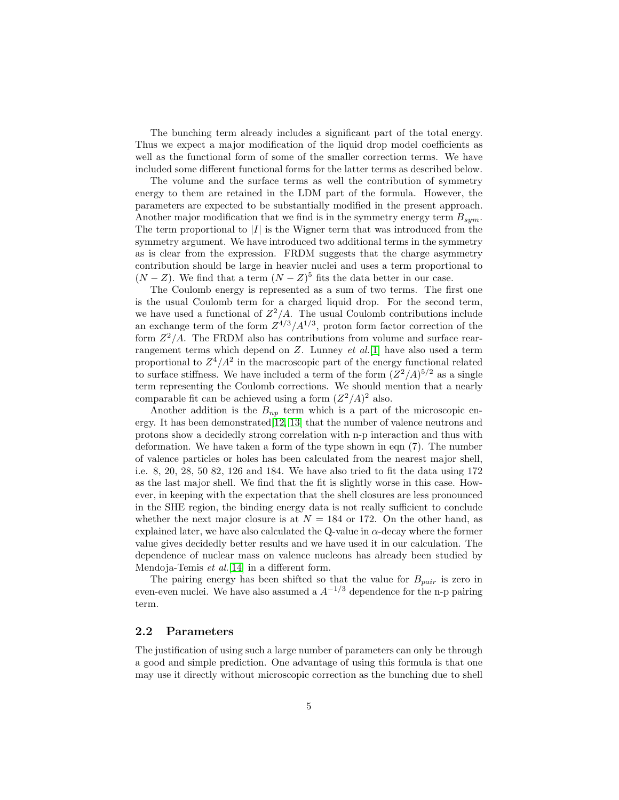The bunching term already includes a significant part of the total energy. Thus we expect a major modification of the liquid drop model coefficients as well as the functional form of some of the smaller correction terms. We have included some different functional forms for the latter terms as described below.

The volume and the surface terms as well the contribution of symmetry energy to them are retained in the LDM part of the formula. However, the parameters are expected to be substantially modified in the present approach. Another major modification that we find is in the symmetry energy term  $B_{sym}$ . The term proportional to  $|I|$  is the Wigner term that was introduced from the symmetry argument. We have introduced two additional terms in the symmetry as is clear from the expression. FRDM suggests that the charge asymmetry contribution should be large in heavier nuclei and uses a term proportional to  $(N - Z)$ . We find that a term  $(N - Z)^5$  fits the data better in our case.

The Coulomb energy is represented as a sum of two terms. The first one is the usual Coulomb term for a charged liquid drop. For the second term, we have used a functional of  $Z^2/A$ . The usual Coulomb contributions include an exchange term of the form  $Z^{4/3}/A^{1/3}$ , proton form factor correction of the form  $Z^2/A$ . The FRDM also has contributions from volume and surface rearrangement terms which depend on Z. Lunney *et al.*[\[1\]](#page-10-0) have also used a term proportional to  $Z^4/A^2$  in the macroscopic part of the energy functional related to surface stiffness. We have included a term of the form  $(Z^2/A)^{5/2}$  as a single term representing the Coulomb corrections. We should mention that a nearly comparable fit can be achieved using a form  $(Z^2/A)^2$  also.

Another addition is the  $B_{np}$  term which is a part of the microscopic energy. It has been demonstrated[\[12,](#page-11-9) [13\]](#page-11-10) that the number of valence neutrons and protons show a decidedly strong correlation with n-p interaction and thus with deformation. We have taken a form of the type shown in eqn (7). The number of valence particles or holes has been calculated from the nearest major shell, i.e. 8, 20, 28, 50 82, 126 and 184. We have also tried to fit the data using 172 as the last major shell. We find that the fit is slightly worse in this case. However, in keeping with the expectation that the shell closures are less pronounced in the SHE region, the binding energy data is not really sufficient to conclude whether the next major closure is at  $N = 184$  or 172. On the other hand, as explained later, we have also calculated the Q-value in  $\alpha$ -decay where the former value gives decidedly better results and we have used it in our calculation. The dependence of nuclear mass on valence nucleons has already been studied by Mendoja-Temis *et al.*[\[14\]](#page-11-11) in a different form.

The pairing energy has been shifted so that the value for  $B_{pair}$  is zero in even-even nuclei. We have also assumed a  $A^{-1/3}$  dependence for the n-p pairing term.

#### 2.2 Parameters

The justification of using such a large number of parameters can only be through a good and simple prediction. One advantage of using this formula is that one may use it directly without microscopic correction as the bunching due to shell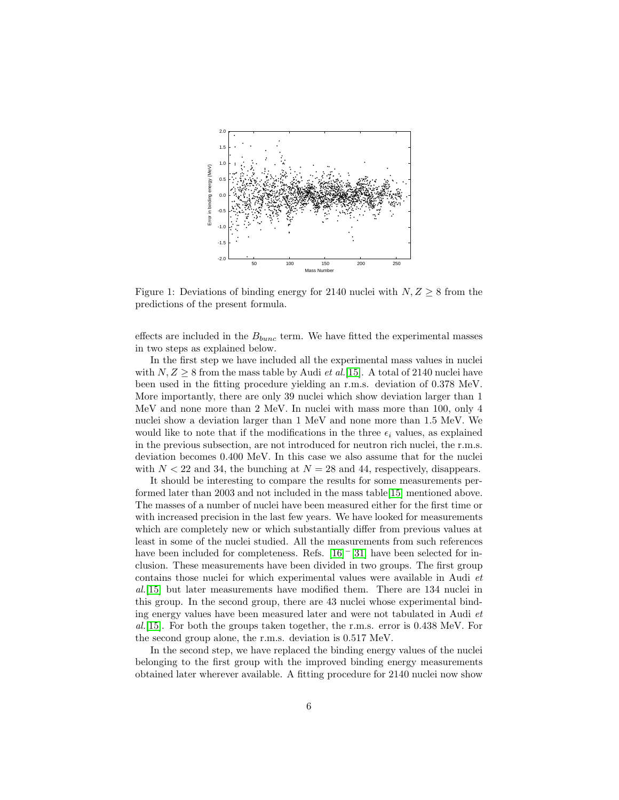

Figure 1: Deviations of binding energy for 2140 nuclei with  $N, Z \geq 8$  from the predictions of the present formula.

effects are included in the  $B_{bunc}$  term. We have fitted the experimental masses in two steps as explained below.

In the first step we have included all the experimental mass values in nuclei with  $N, Z \geq 8$  from the mass table by Audi *et al.*[\[15\]](#page-11-12). A total of 2140 nuclei have been used in the fitting procedure yielding an r.m.s. deviation of 0.378 MeV. More importantly, there are only 39 nuclei which show deviation larger than 1 MeV and none more than 2 MeV. In nuclei with mass more than 100, only 4 nuclei show a deviation larger than 1 MeV and none more than 1.5 MeV. We would like to note that if the modifications in the three  $\epsilon_i$  values, as explained in the previous subsection, are not introduced for neutron rich nuclei, the r.m.s. deviation becomes 0.400 MeV. In this case we also assume that for the nuclei with  $N < 22$  and 34, the bunching at  $N = 28$  and 44, respectively, disappears.

It should be interesting to compare the results for some measurements performed later than 2003 and not included in the mass table[\[15\]](#page-11-12) mentioned above. The masses of a number of nuclei have been measured either for the first time or with increased precision in the last few years. We have looked for measurements which are completely new or which substantially differ from previous values at least in some of the nuclei studied. All the measurements from such references have been included for completeness. Refs. [\[16\]](#page-11-13)<sup>-</sup>[\[31\]](#page-12-0) have been selected for inclusion. These measurements have been divided in two groups. The first group contains those nuclei for which experimental values were available in Audi *et al.*[\[15\]](#page-11-12) but later measurements have modified them. There are 134 nuclei in this group. In the second group, there are 43 nuclei whose experimental binding energy values have been measured later and were not tabulated in Audi *et al.*[\[15\]](#page-11-12). For both the groups taken together, the r.m.s. error is 0.438 MeV. For the second group alone, the r.m.s. deviation is 0.517 MeV.

In the second step, we have replaced the binding energy values of the nuclei belonging to the first group with the improved binding energy measurements obtained later wherever available. A fitting procedure for 2140 nuclei now show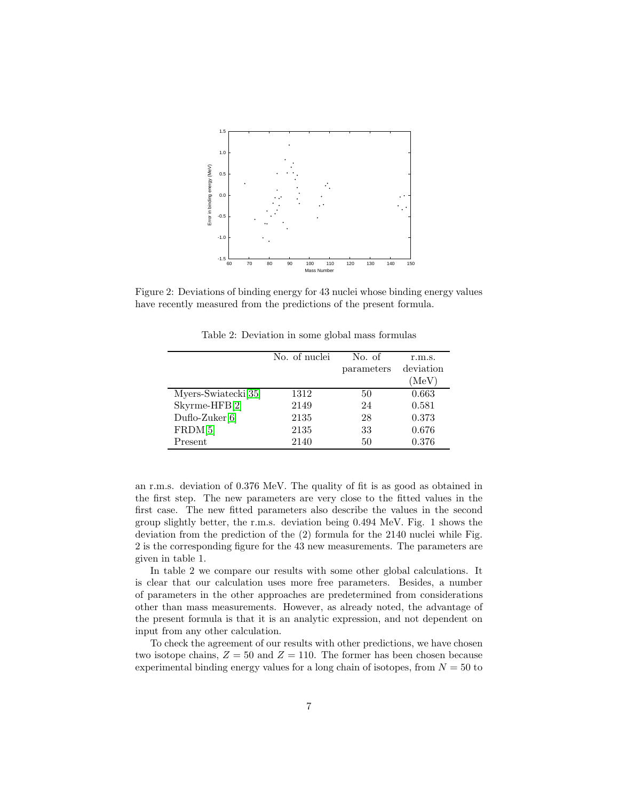

Figure 2: Deviations of binding energy for 43 nuclei whose binding energy values have recently measured from the predictions of the present formula.

|                                 | No. of nuclei | No. of     | r.m.s.    |
|---------------------------------|---------------|------------|-----------|
|                                 |               | parameters | deviation |
|                                 |               |            | (MeV)     |
| Myers-Swiatecki <sup>[35]</sup> | 1312          | 50         | 0.663     |
| Skyrme-HFB[2]                   | 2149          | 24         | 0.581     |
| $Duflo-Zuker[6]$                | 2135          | 28         | 0.373     |
| FRDM[5]                         | 2135          | 33         | 0.676     |
| Present                         | 2140          | 50         | 0.376     |

Table 2: Deviation in some global mass formulas

an r.m.s. deviation of 0.376 MeV. The quality of fit is as good as obtained in the first step. The new parameters are very close to the fitted values in the first case. The new fitted parameters also describe the values in the second group slightly better, the r.m.s. deviation being 0.494 MeV. Fig. 1 shows the deviation from the prediction of the (2) formula for the 2140 nuclei while Fig. 2 is the corresponding figure for the 43 new measurements. The parameters are given in table 1.

In table 2 we compare our results with some other global calculations. It is clear that our calculation uses more free parameters. Besides, a number of parameters in the other approaches are predetermined from considerations other than mass measurements. However, as already noted, the advantage of the present formula is that it is an analytic expression, and not dependent on input from any other calculation.

To check the agreement of our results with other predictions, we have chosen two isotope chains,  $Z = 50$  and  $Z = 110$ . The former has been chosen because experimental binding energy values for a long chain of isotopes, from  $N = 50$  to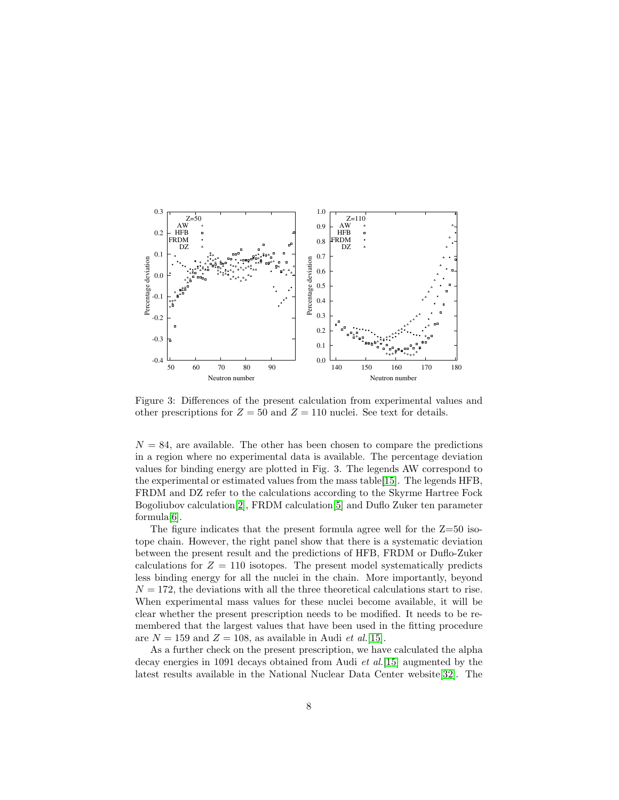

Figure 3: Differences of the present calculation from experimental values and other prescriptions for  $Z = 50$  and  $Z = 110$  nuclei. See text for details.

 $N = 84$ , are available. The other has been chosen to compare the predictions in a region where no experimental data is available. The percentage deviation values for binding energy are plotted in Fig. 3. The legends AW correspond to the experimental or estimated values from the mass table[\[15\]](#page-11-12). The legends HFB, FRDM and DZ refer to the calculations according to the Skyrme Hartree Fock Bogoliubov calculation[\[2\]](#page-10-1), FRDM calculation[\[5\]](#page-11-2) and Duflo Zuker ten parameter formula[\[6\]](#page-11-3).

The figure indicates that the present formula agree well for the Z=50 isotope chain. However, the right panel show that there is a systematic deviation between the present result and the predictions of HFB, FRDM or Duflo-Zuker calculations for  $Z = 110$  isotopes. The present model systematically predicts less binding energy for all the nuclei in the chain. More importantly, beyond  $N = 172$ , the deviations with all the three theoretical calculations start to rise. When experimental mass values for these nuclei become available, it will be clear whether the present prescription needs to be modified. It needs to be remembered that the largest values that have been used in the fitting procedure are  $N = 159$  and  $Z = 108$ , as available in Audi *et al.*[\[15\]](#page-11-12).

As a further check on the present prescription, we have calculated the alpha decay energies in 1091 decays obtained from Audi *et al.*[\[15\]](#page-11-12) augmented by the latest results available in the National Nuclear Data Center website[\[32\]](#page-12-2). The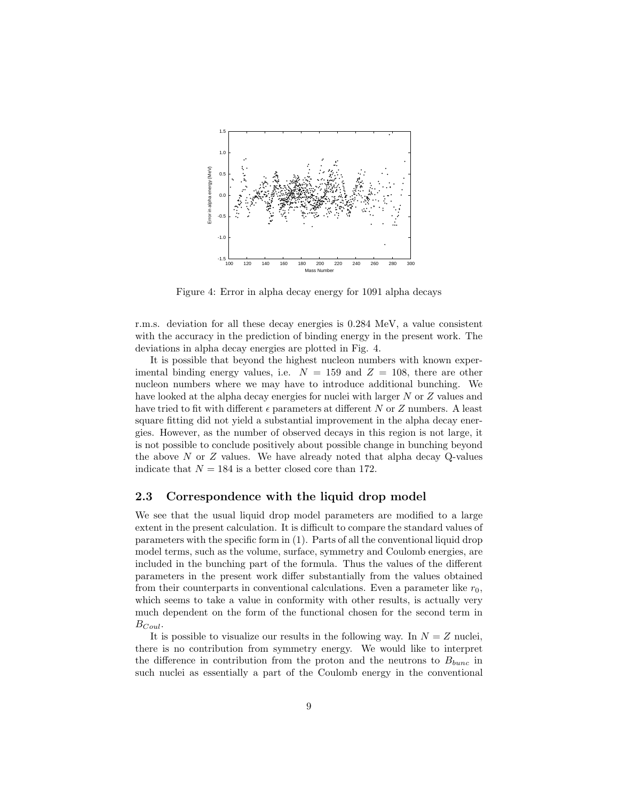

Figure 4: Error in alpha decay energy for 1091 alpha decays

r.m.s. deviation for all these decay energies is 0.284 MeV, a value consistent with the accuracy in the prediction of binding energy in the present work. The deviations in alpha decay energies are plotted in Fig. 4.

It is possible that beyond the highest nucleon numbers with known experimental binding energy values, i.e.  $N = 159$  and  $Z = 108$ , there are other nucleon numbers where we may have to introduce additional bunching. We have looked at the alpha decay energies for nuclei with larger N or Z values and have tried to fit with different  $\epsilon$  parameters at different N or Z numbers. A least square fitting did not yield a substantial improvement in the alpha decay energies. However, as the number of observed decays in this region is not large, it is not possible to conclude positively about possible change in bunching beyond the above  $N$  or  $Z$  values. We have already noted that alpha decay Q-values indicate that  $N = 184$  is a better closed core than 172.

#### 2.3 Correspondence with the liquid drop model

We see that the usual liquid drop model parameters are modified to a large extent in the present calculation. It is difficult to compare the standard values of parameters with the specific form in (1). Parts of all the conventional liquid drop model terms, such as the volume, surface, symmetry and Coulomb energies, are included in the bunching part of the formula. Thus the values of the different parameters in the present work differ substantially from the values obtained from their counterparts in conventional calculations. Even a parameter like  $r_0$ , which seems to take a value in conformity with other results, is actually very much dependent on the form of the functional chosen for the second term in  $B_{Coul}$ .

It is possible to visualize our results in the following way. In  $N = Z$  nuclei, there is no contribution from symmetry energy. We would like to interpret the difference in contribution from the proton and the neutrons to  $B_{bunc}$  in such nuclei as essentially a part of the Coulomb energy in the conventional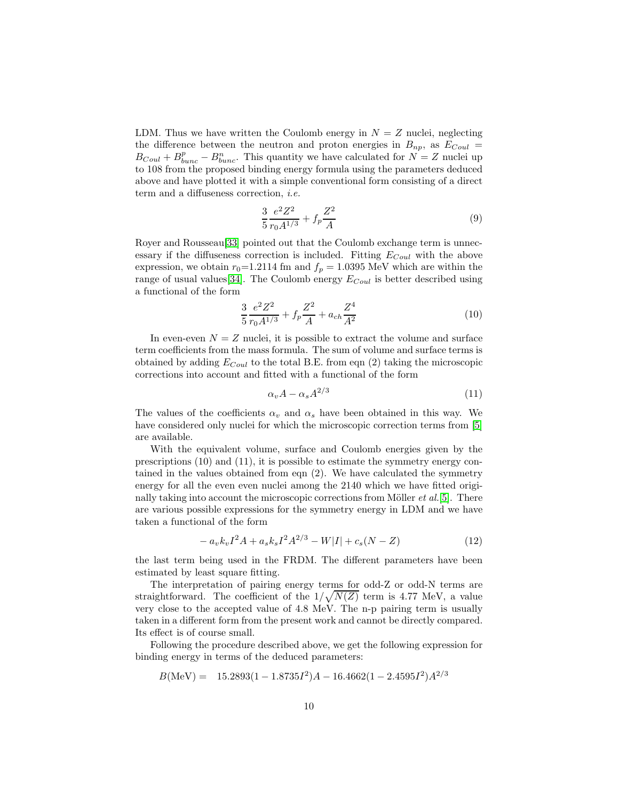LDM. Thus we have written the Coulomb energy in  $N = Z$  nuclei, neglecting the difference between the neutron and proton energies in  $B_{np}$ , as  $E_{Coul}$  $B_{Coul} + B_{bunc}^p - B_{bunc}^n$ . This quantity we have calculated for  $N = Z$  nuclei up to 108 from the proposed binding energy formula using the parameters deduced above and have plotted it with a simple conventional form consisting of a direct term and a diffuseness correction, *i.e.*

$$
\frac{3}{5} \frac{e^2 Z^2}{r_0 A^{1/3}} + f_p \frac{Z^2}{A}
$$
 (9)

Royer and Rousseau[\[33\]](#page-12-3) pointed out that the Coulomb exchange term is unnecessary if the diffuseness correction is included. Fitting  $E_{Coul}$  with the above expression, we obtain  $r_0$ =1.2114 fm and  $f_p$  = 1.0395 MeV which are within the range of usual values [\[34\]](#page-12-4). The Coulomb energy  $E_{Coul}$  is better described using a functional of the form

$$
\frac{3}{5} \frac{e^2 Z^2}{r_0 A^{1/3}} + f_p \frac{Z^2}{A} + a_{ch} \frac{Z^4}{A^2}
$$
 (10)

In even-even  $N = Z$  nuclei, it is possible to extract the volume and surface term coefficients from the mass formula. The sum of volume and surface terms is obtained by adding  $E_{Coul}$  to the total B.E. from eqn (2) taking the microscopic corrections into account and fitted with a functional of the form

$$
\alpha_v A - \alpha_s A^{2/3} \tag{11}
$$

The values of the coefficients  $\alpha_v$  and  $\alpha_s$  have been obtained in this way. We have considered only nuclei for which the microscopic correction terms from [\[5\]](#page-11-2) are available.

With the equivalent volume, surface and Coulomb energies given by the prescriptions (10) and (11), it is possible to estimate the symmetry energy contained in the values obtained from eqn (2). We have calculated the symmetry energy for all the even even nuclei among the 2140 which we have fitted originally taking into account the microscopic corrections from Möller *et al.*[\[5\]](#page-11-2). There are various possible expressions for the symmetry energy in LDM and we have taken a functional of the form

$$
- a_v k_v I^2 A + a_s k_s I^2 A^{2/3} - W|I| + c_s (N - Z) \tag{12}
$$

the last term being used in the FRDM. The different parameters have been estimated by least square fitting.

The interpretation of pairing energy terms for odd-Z or odd-N terms are straightforward. The coefficient of the  $1/\sqrt{N(Z)}$  term is 4.77 MeV, a value very close to the accepted value of 4.8 MeV. The n-p pairing term is usually taken in a different form from the present work and cannot be directly compared. Its effect is of course small.

Following the procedure described above, we get the following expression for binding energy in terms of the deduced parameters:

$$
B(\text{MeV}) = 15.2893(1 - 1.8735I^2)A - 16.4662(1 - 2.4595I^2)A^{2/3}
$$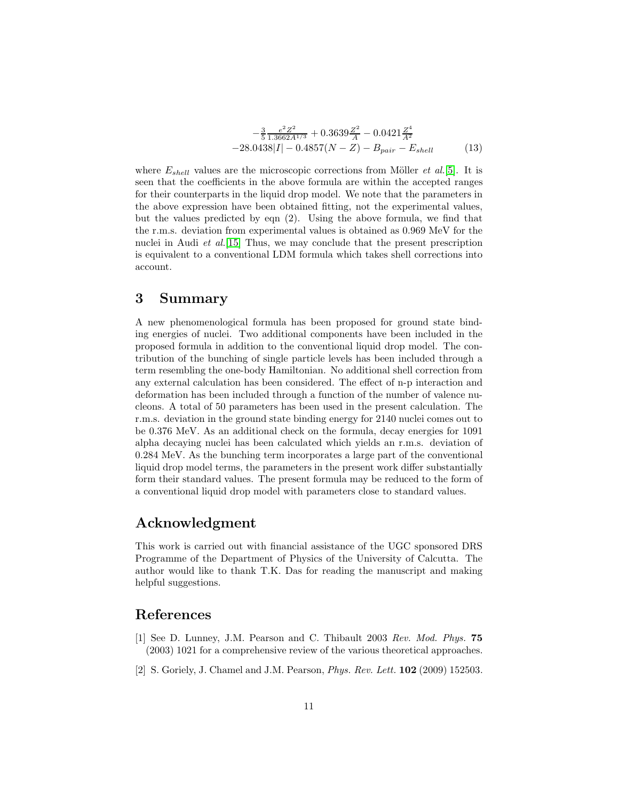$$
-\frac{3}{5} \frac{e^2 Z^2}{1.3662 A^{1/3}} + 0.3639 \frac{Z^2}{A} - 0.0421 \frac{Z^4}{A^2}
$$
  
-28.0438|I| - 0.4857(N - Z) - B<sub>pair</sub> - E<sub>shell</sub> (13)

where  $E_{shell}$  values are the microscopic corrections from Möller *et al.*[\[5\]](#page-11-2). It is seen that the coefficients in the above formula are within the accepted ranges for their counterparts in the liquid drop model. We note that the parameters in the above expression have been obtained fitting, not the experimental values, but the values predicted by eqn (2). Using the above formula, we find that the r.m.s. deviation from experimental values is obtained as 0.969 MeV for the nuclei in Audi *et al.*[\[15\]](#page-11-12) Thus, we may conclude that the present prescription is equivalent to a conventional LDM formula which takes shell corrections into account.

### 3 Summary

A new phenomenological formula has been proposed for ground state binding energies of nuclei. Two additional components have been included in the proposed formula in addition to the conventional liquid drop model. The contribution of the bunching of single particle levels has been included through a term resembling the one-body Hamiltonian. No additional shell correction from any external calculation has been considered. The effect of n-p interaction and deformation has been included through a function of the number of valence nucleons. A total of 50 parameters has been used in the present calculation. The r.m.s. deviation in the ground state binding energy for 2140 nuclei comes out to be 0.376 MeV. As an additional check on the formula, decay energies for 1091 alpha decaying nuclei has been calculated which yields an r.m.s. deviation of 0.284 MeV. As the bunching term incorporates a large part of the conventional liquid drop model terms, the parameters in the present work differ substantially form their standard values. The present formula may be reduced to the form of a conventional liquid drop model with parameters close to standard values.

### Acknowledgment

This work is carried out with financial assistance of the UGC sponsored DRS Programme of the Department of Physics of the University of Calcutta. The author would like to thank T.K. Das for reading the manuscript and making helpful suggestions.

### <span id="page-10-0"></span>References

- [1] See D. Lunney, J.M. Pearson and C. Thibault 2003 *Rev. Mod. Phys.* 75 (2003) 1021 for a comprehensive review of the various theoretical approaches.
- <span id="page-10-1"></span>[2] S. Goriely, J. Chamel and J.M. Pearson, *Phys. Rev. Lett.* 102 (2009) 152503.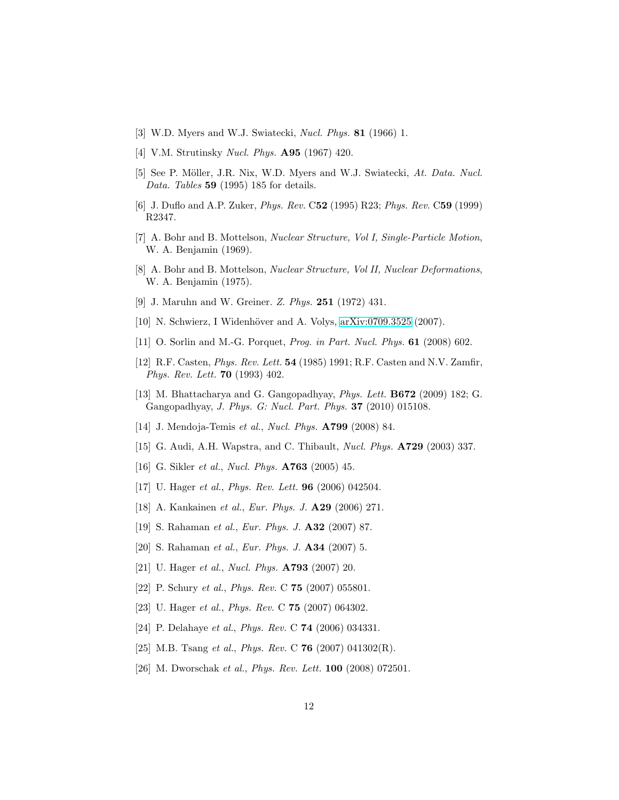- <span id="page-11-1"></span><span id="page-11-0"></span>[3] W.D. Myers and W.J. Swiatecki, *Nucl. Phys.* 81 (1966) 1.
- <span id="page-11-2"></span>[4] V.M. Strutinsky *Nucl. Phys.* A95 (1967) 420.
- [5] See P. M¨oller, J.R. Nix, W.D. Myers and W.J. Swiatecki, *At. Data. Nucl. Data. Tables* 59 (1995) 185 for details.
- <span id="page-11-4"></span><span id="page-11-3"></span>[6] J. Duflo and A.P. Zuker, *Phys. Rev.* C52 (1995) R23; *Phys. Rev.* C59 (1999) R2347.
- <span id="page-11-5"></span>[7] A. Bohr and B. Mottelson, *Nuclear Structure, Vol I, Single-Particle Motion*, W. A. Benjamin (1969).
- [8] A. Bohr and B. Mottelson, *Nuclear Structure, Vol II, Nuclear Deformations*, W. A. Benjamin (1975).
- <span id="page-11-7"></span><span id="page-11-6"></span>[9] J. Maruhn and W. Greiner. *Z. Phys.* 251 (1972) 431.
- <span id="page-11-8"></span>[10] N. Schwierz, I Widenhöver and A. Volys, [arXiv:0709.3525](http://arxiv.org/abs/0709.3525) (2007).
- <span id="page-11-9"></span>[11] O. Sorlin and M.-G. Porquet, *Prog. in Part. Nucl. Phys.* 61 (2008) 602.
- [12] R.F. Casten, *Phys. Rev. Lett.* 54 (1985) 1991; R.F. Casten and N.V. Zamfir, *Phys. Rev. Lett.* 70 (1993) 402.
- <span id="page-11-10"></span>[13] M. Bhattacharya and G. Gangopadhyay, *Phys. Lett.* B672 (2009) 182; G. Gangopadhyay, *J. Phys. G: Nucl. Part. Phys.* 37 (2010) 015108.
- <span id="page-11-12"></span><span id="page-11-11"></span>[14] J. Mendoja-Temis *et al.*, *Nucl. Phys.* A799 (2008) 84.
- <span id="page-11-13"></span>[15] G. Audi, A.H. Wapstra, and C. Thibault, *Nucl. Phys.* A729 (2003) 337.
- [16] G. Sikler *et al.*, *Nucl. Phys.* A763 (2005) 45.
- [17] U. Hager *et al.*, *Phys. Rev. Lett.* 96 (2006) 042504.
- [18] A. Kankainen *et al.*, *Eur. Phys. J.* A29 (2006) 271.
- [19] S. Rahaman *et al.*, *Eur. Phys. J.* A32 (2007) 87.
- [20] S. Rahaman *et al.*, *Eur. Phys. J.* A34 (2007) 5.
- [21] U. Hager *et al.*, *Nucl. Phys.* A793 (2007) 20.
- [22] P. Schury *et al.*, *Phys. Rev.* C 75 (2007) 055801.
- [23] U. Hager *et al.*, *Phys. Rev.* C 75 (2007) 064302.
- [24] P. Delahaye *et al.*, *Phys. Rev.* C 74 (2006) 034331.
- [25] M.B. Tsang *et al.*, *Phys. Rev.* C 76 (2007) 041302(R).
- [26] M. Dworschak *et al.*, *Phys. Rev. Lett.* 100 (2008) 072501.